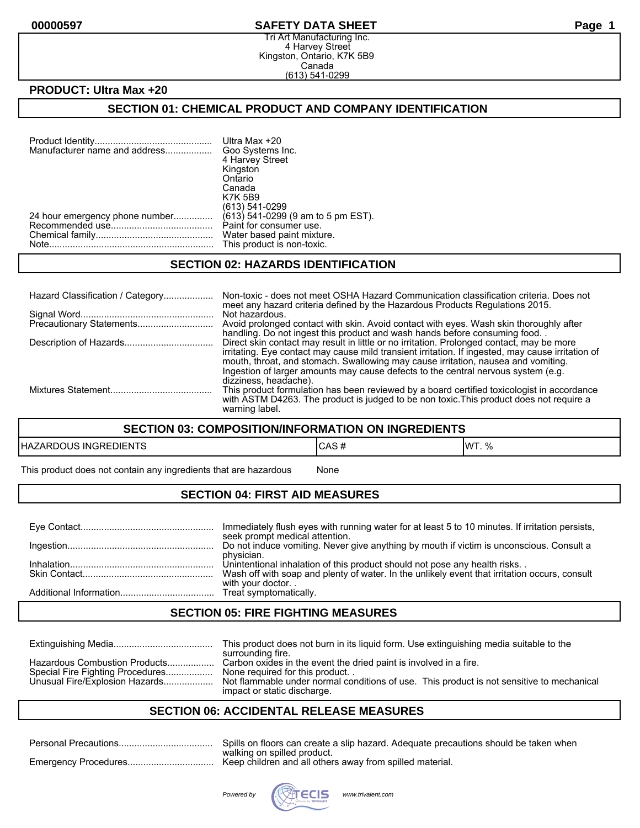#### **00000597 SAFETY DATA SHEET Page 1**

Tri Art Manufacturing Inc. 4 Harvey Street Kingston, Ontario, K7K 5B9 Canada (613) 541-0299

## **PRODUCT: Ultra Max +20**

# **SECTION 01: CHEMICAL PRODUCT AND COMPANY IDENTIFICATION**

| Manufacturer name and address  | Ultra Max +20<br>Goo Systems Inc.  |
|--------------------------------|------------------------------------|
|                                | 4 Harvey Street                    |
|                                | Kingston                           |
|                                | Ontario                            |
|                                | Canada                             |
|                                | <b>K7K 5B9</b>                     |
|                                | (613) 541-0299                     |
| 24 hour emergency phone number | (613) 541-0299 (9 am to 5 pm EST). |
|                                | Paint for consumer use.            |
|                                | Water based paint mixture.         |
|                                | This product is non-toxic.         |
|                                |                                    |

#### **SECTION 02: HAZARDS IDENTIFICATION**

| Hazard Classification / Category | Non-toxic - does not meet OSHA Hazard Communication classification criteria. Does not<br>meet any hazard criteria defined by the Hazardous Products Regulations 2015.                                                                                                                                                                                                    |
|----------------------------------|--------------------------------------------------------------------------------------------------------------------------------------------------------------------------------------------------------------------------------------------------------------------------------------------------------------------------------------------------------------------------|
|                                  | Not hazardous.<br>Avoid prolonged contact with skin. Avoid contact with eyes. Wash skin thoroughly after<br>handling. Do not ingest this product and wash hands before consuming food.                                                                                                                                                                                   |
|                                  | Direct skin contact may result in little or no irritation. Prolonged contact, may be more<br>irritating. Eye contact may cause mild transient irritation. If ingested, may cause irritation of<br>mouth, throat, and stomach. Swallowing may cause irritation, nausea and vomiting.<br>Ingestion of larger amounts may cause defects to the central nervous system (e.g. |
|                                  | dizziness, headache).<br>This product formulation has been reviewed by a board certified toxicologist in accordance<br>with ASTM D4263. The product is judged to be non toxic. This product does not require a<br>warning label.                                                                                                                                         |

#### **SECTION 03: COMPOSITION/INFORMATION ON INGREDIENTS**

| <b>EDIENTS</b><br>HAZAI<br>RDOUS<br><b>INGRE</b> | $\mathbf{r}$<br>י ∪רש<br>$\boldsymbol{\pi}$ | $\Omega$<br><b>IMT</b><br>v, |
|--------------------------------------------------|---------------------------------------------|------------------------------|
|--------------------------------------------------|---------------------------------------------|------------------------------|

This product does not contain any ingredients that are hazardous Mone

## **SECTION 04: FIRST AID MEASURES**

| Immediately flush eyes with running water for at least 5 to 10 minutes. If irritation persists,<br>seek prompt medical attention. |
|-----------------------------------------------------------------------------------------------------------------------------------|
| Do not induce vomiting. Never give anything by mouth if victim is unconscious. Consult a                                          |
| physician.<br>Unintentional inhalation of this product should not pose any health risks                                           |
| Wash off with soap and plenty of water. In the unlikely event that irritation occurs, consult<br>with your doctor                 |
|                                                                                                                                   |

### **SECTION 05: FIRE FIGHTING MEASURES**

|                                                                                                     | This product does not burn in its liquid form. Use extinguishing media suitable to the<br>surrounding fire.                                                                                                                     |
|-----------------------------------------------------------------------------------------------------|---------------------------------------------------------------------------------------------------------------------------------------------------------------------------------------------------------------------------------|
| Hazardous Combustion Products<br>Special Fire Fighting Procedures<br>Unusual Fire/Explosion Hazards | Carbon oxides in the event the dried paint is involved in a fire.<br>None required for this product<br>Not flammable under normal conditions of use. This product is not sensitive to mechanical<br>impact or static discharge. |

#### **SECTION 06: ACCIDENTAL RELEASE MEASURES**

| Spills on floors can create a slip hazard. Adequate precautions should be taken when |
|--------------------------------------------------------------------------------------|
| walking on spilled product.                                                          |

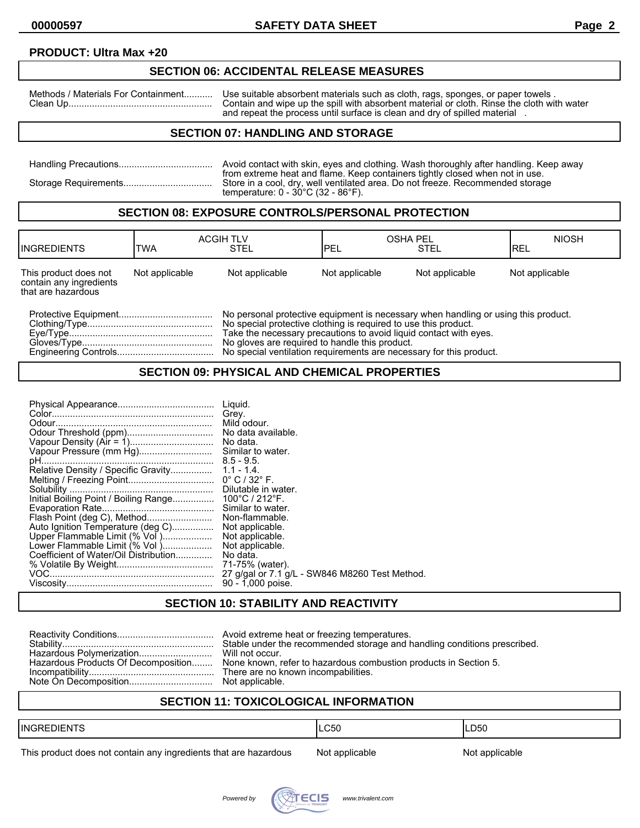## **PRODUCT: Ultra Max +20**

# **SECTION 06: ACCIDENTAL RELEASE MEASURES**

Methods / Materials For Containment........... Use suitable absorbent materials such as cloth, rags, sponges, or paper towels . Clean Up....................................................... Contain and wipe up the spill with absorbent material or cloth. Rinse the cloth with water and repeat the process until surface is clean and dry of spilled material .

## **SECTION 07: HANDLING AND STORAGE**

| Avoid contact with skin, eyes and clothing. Wash thoroughly after handling. Keep away                                                                                                                                     |
|---------------------------------------------------------------------------------------------------------------------------------------------------------------------------------------------------------------------------|
| from extreme heat and flame. Keep containers tightly closed when not in use.<br>Store in a cool, dry, well ventilated area. Do not freeze. Recommended storage<br>temperature: $0 - 30^{\circ}$ C (32 - 86 $^{\circ}$ F). |

#### **SECTION 08: EXPOSURE CONTROLS/PERSONAL PROTECTION**

| <b>IINGREDIENTS</b>                                                    | TWA            | <b>ACGIH TLV</b><br>STEL                                                                                                                                                                                                                                                     | <b>OSHA PEL</b><br><b>IPEL</b> | <b>STEL</b>    | <b>NIOSH</b><br>IREL |
|------------------------------------------------------------------------|----------------|------------------------------------------------------------------------------------------------------------------------------------------------------------------------------------------------------------------------------------------------------------------------------|--------------------------------|----------------|----------------------|
| This product does not<br>contain any ingredients<br>that are hazardous | Not applicable | Not applicable                                                                                                                                                                                                                                                               | Not applicable                 | Not applicable | Not applicable       |
|                                                                        |                | No personal protective equipment is necessary when handling or using this product.<br>No special protective clothing is required to use this product.<br>Take the necessary precautions to avoid liquid contact with eves.<br>No gloves are required to handle this product. |                                |                |                      |

Engineering Controls..................................... No special ventilation requirements are necessary for this product.

#### **SECTION 09: PHYSICAL AND CHEMICAL PROPERTIES**

| Auto Ignition Temperature (deg C)<br>Upper Flammable Limit (% Vol )<br>Lower Flammable Limit (% Vol)<br>Coefficient of Water/Oil Distribution | Liguid.<br>Grey.<br>Mild odour.<br>No data.<br>Similar to water.<br>Similar to water.<br>Non-flammable.<br>Not applicable.<br>Not applicable.<br>Not applicable.<br>No data.<br>71-75% (water).<br>27 g/gal or 7.1 g/L - SW846 M8260 Test Method.<br>90 - 1,000 poise. |
|-----------------------------------------------------------------------------------------------------------------------------------------------|------------------------------------------------------------------------------------------------------------------------------------------------------------------------------------------------------------------------------------------------------------------------|
|-----------------------------------------------------------------------------------------------------------------------------------------------|------------------------------------------------------------------------------------------------------------------------------------------------------------------------------------------------------------------------------------------------------------------------|

# **SECTION 10: STABILITY AND REACTIVITY**

| Hazardous Products Of Decomposition None known, refer to hazardous combustion products in Section 5. |
|------------------------------------------------------------------------------------------------------|

# **SECTION 11: TOXICOLOGICAL INFORMATION**

| $-$<br><b>IINGRED</b><br>DI⊢N I | CEC<br>◡◡ | D50<br>$ -$ |
|---------------------------------|-----------|-------------|
|                                 |           |             |

This product does not contain any ingredients that are hazardous Not applicable Not applicable

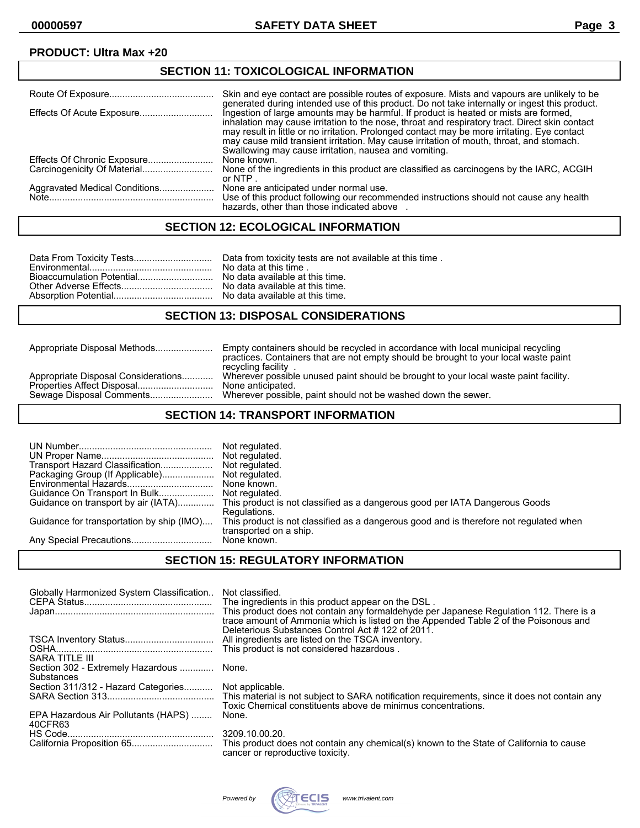## **PRODUCT: Ultra Max +20**

| <b>SECTION 11: TOXICOLOGICAL INFORMATION</b> |                                                                                                                                                                                                                                                                                                                                                                                                                                             |  |
|----------------------------------------------|---------------------------------------------------------------------------------------------------------------------------------------------------------------------------------------------------------------------------------------------------------------------------------------------------------------------------------------------------------------------------------------------------------------------------------------------|--|
|                                              | Skin and eve contact are possible routes of exposure. Mists and vapours are unlikely to be<br>generated during intended use of this product. Do not take internally or ingest this product.                                                                                                                                                                                                                                                 |  |
| Effects Of Acute Exposure                    | Ingestion of large amounts may be harmful. If product is heated or mists are formed,<br>inhalation may cause irritation to the nose, throat and respiratory tract. Direct skin contact<br>may result in little or no irritation. Prolonged contact may be more irritating. Eye contact<br>may cause mild transient irritation. May cause irritation of mouth, throat, and stomach.<br>Swallowing may cause irritation, nausea and vomiting. |  |
|                                              | None known.                                                                                                                                                                                                                                                                                                                                                                                                                                 |  |
|                                              | None of the ingredients in this product are classified as carcinogens by the IARC, ACGIH<br>or NTP.                                                                                                                                                                                                                                                                                                                                         |  |
| Aggravated Medical Conditions                | None are anticipated under normal use.<br>Use of this product following our recommended instructions should not cause any health<br>hazards, other than those indicated above                                                                                                                                                                                                                                                               |  |

### **SECTION 12: ECOLOGICAL INFORMATION**

#### **SECTION 13: DISPOSAL CONSIDERATIONS**

Appropriate Disposal Methods...................... Empty containers should be recycled in accordance with local municipal recycling practices. Containers that are not empty should be brought to your local waste paint recycling facility . Wherever possible unused paint should be brought to your local waste paint facility.<br>None anticipated. Properties Affect Disposal............................. None anticipated. Wherever possible, paint should not be washed down the sewer.

#### **SECTION 14: TRANSPORT INFORMATION**

| Transport Hazard Classification<br>Packaging Group (If Applicable)<br>Guidance for transportation by ship (IMO) | Not regulated.<br>Not regulated.<br>Not regulated.<br>None known.<br>Guidance on transport by air (IATA) This product is not classified as a dangerous good per IATA Dangerous Goods<br>Regulations.<br>This product is not classified as a dangerous good and is therefore not regulated when<br>transported on a ship. |
|-----------------------------------------------------------------------------------------------------------------|--------------------------------------------------------------------------------------------------------------------------------------------------------------------------------------------------------------------------------------------------------------------------------------------------------------------------|
|                                                                                                                 | None known.                                                                                                                                                                                                                                                                                                              |

#### **SECTION 15: REGULATORY INFORMATION**

| Globally Harmonized System Classification              | Not classified.<br>The ingredients in this product appear on the DSL.<br>This product does not contain any formaldehyde per Japanese Regulation 112. There is a<br>trace amount of Ammonia which is listed on the Appended Table 2 of the Poisonous and |
|--------------------------------------------------------|---------------------------------------------------------------------------------------------------------------------------------------------------------------------------------------------------------------------------------------------------------|
| SARA TITLE III                                         | Deleterious Substances Control Act #122 of 2011.<br>All ingredients are listed on the TSCA inventory.<br>This product is not considered hazardous.                                                                                                      |
| Section 302 - Extremely Hazardous  None.<br>Substances |                                                                                                                                                                                                                                                         |
| Section 311/312 - Hazard Categories Not applicable.    | Toxic Chemical constituents above de minimus concentrations.                                                                                                                                                                                            |
| EPA Hazardous Air Pollutants (HAPS)<br>40CFR63         | None.                                                                                                                                                                                                                                                   |
|                                                        | 3209.10.00.20.<br>This product does not contain any chemical(s) known to the State of California to cause<br>cancer or reproductive toxicity.                                                                                                           |